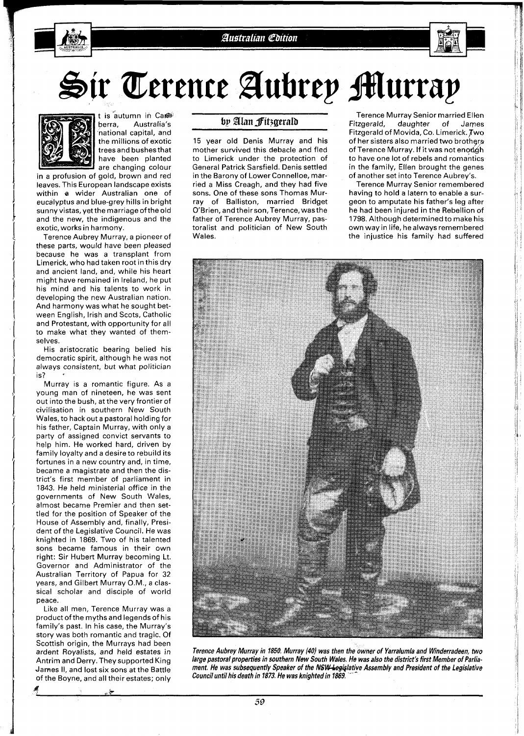

Sir Terence Aubrey Murray



t is autumn in Care<br>berra. Australia's Australia's national capital, and the millions of exotic trees and bushesthat have been planted are changing colour

in a profusion of gold, brown and red leaves. This European landscape exists within **a** wider Australian one of eucalyptus and blue-grey hills in bright sunny vistas, yetthe marriage ofthe old and the new, the indigenous and the exotic, works in harmony.

Terence Aubrey Murray, a pioneer of these parts, would have been pleased because he was a transplant from Limerick, who had taken root in this dry and ancient land, and, while his heart might have remained in Ireland, he put his mind and his talents to work in developing the new Australian nation. And harmony was what he sought between English, Irish and Scots, Catholic and Protestant, with opportunity for all to make what they wanted of themselves.

His aristocratic bearing belied his democratic spirit, although he was not always consistent, but what politician is?

Murray is a romantic figure. As a young man of nineteen, he was sent out into the bush, at the very frontier of civilisation in southern New South Wales, to hack out a pastoral holding for his father, Captain Murray, with only a party of assigned convict servants to help him. He worked hard, driven by family loyalty and a desire to rebuild its fortunes in a new country and, in time, became a magistrate and then the district's first member of parliament in 1843. He held ministerial office in the governments of New South Wales, almost became Premier and then settled for the position of Speaker of the House of Assembly and, finally, President of the Legislative Council. He was knighted in 1869. Two of his talented sons became famous in their own right: Sir Hubert Murray becoming Lt. Governor and Administrator of the Australian Territory of Papua for 32 years, and Gilbert Murray O.M., a classical scholar and disciple of world peace.

Like all men, Terence Murray was a product of the myths and legends of his family's past. In his case, the Murray's story was both romantic and tragic. Of Scottish origin, the Murrays had been ardent Royalists, and held estates in Antrim and Derry.They supported King Jarnes II, and lost six sons at the Battle of the Boyne, and all their estates; only

یل ،

## by Alan Fitzgerald

15 year old Denis Murray and his mother survived this debacle and fled to Limerick under the protection of General Patrick Sarsfield. Denis settled in the Barony of Lower Connelloe, married a Miss Creagh, and they had five sons. One of these sons Thomas Murray of Balliston, married Bridget O'Brien, and theirson,Terence, wasthe father of Terence Aubrey Murray, pastoralist and politician of New South Wales.

Terence Murray Senior married Ellen<br>Fitzgerald, daughter of James daughter of Fitzgerald of Movida, Co. Limerick. Two of her sisters also married two brothers of Terence Murray. If it was not enough to have one lot of rebels and romantics in the family, Ellen brought the genes of another set into Terence Aubrey's.

Terence Murray Senior remembered having to hold a latern to enable a surgeon to amputate his father's leg after he had been injured in the Rebellion of 1798. Although determined to make his own way in life, he always remembered the injustice his family had suffered



**Terence Aubrey Murray in 1850. Murray (40) was then the owner of Yarralumla and Winderradeen, two large pastoral properties in southern New South Wales. He was also the district's first Member of Parlia**ment. He was subsequently Speaker of the NSW-legislative Assembly and President of the Legislative Council until his death in 1873. He was knighted in 1869.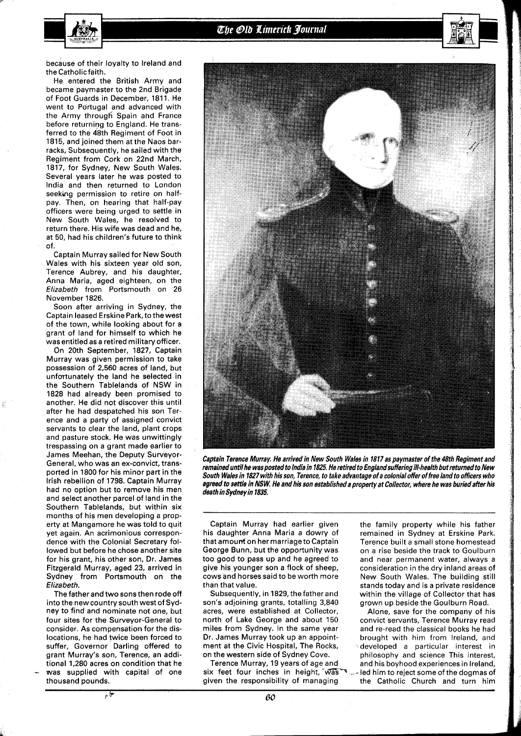

because of their loyalty to Ireland and the Catholic faith.

He entered the British Army and became paymaster to the 2nd Brigade of Foot Guards in December, 1811. He went to Portugal and advanced with the Army through Spain and France before returning to England. He transferred to the 48th Regiment of Foot in 1815, and joined them at the Naos barracks, Subsequently, he sailed with the Regiment from Cork on 22nd March, 1817, for Sydney, New South Wales. Several years later he was posted to lndia and then returned to London seeking permission to retire on halfpay. Then, on hearing that half-pay officers were being urged to settle in New South Wales, he resolved to return there. His wife was dead and he, at 50, had his children's future to think of.

Captain Murray sailed for New South Wales with his sixteen year old son, Terence Aubrey, and his daughter, Anna Maria, aged eighteen, on the **Elizabeth** from Portsmouth on 26 November 1826.

Soon after arriving in Sydney, the Captain leased Erskine Park, to the west of the town, while looking about for a grant of land for himself to which he was entitled as a retired military officer.

On 20th September, 1827, Captain Murray was given permission to take possession of 2,560 acres of land, but unfortunately the land he selected in the Southern Tablelands of NSW in 1828 had already been promised to another. He did not discover this until after he had despatched his son Terence and a party of assigned convict servants to clear the land, plant crops and pasture stock. He was unwittingly trespassing on a grant made earlier to James Meehan, the Deputy Surveyor-General, who was an ex-convict, transported in l800 for his minor part in the Irish rebellion of 1798. Captain Murray had no option but to remove his men and select another parcel of land in the Southern Tablelands, but within six months of his men developing a property at Mangamore he was told to quit yet again. An acrimonious correspondence with the Colonial Secretary followed but before he chose another site for his grant, his other son, Dr. James Fitzgerald Murray, aged 23, arrived in Sydney from Portsmouth on the **Elizabeth.** 

The father and two sons then rode off into the new country south west of Sydney to find and nominate not one, but four sites for the Surveyor-General to consider. As compensation for the dislocations, he had twice been forced to suffer, Governor Darling offered to grant Murray's son, Terence, an additional 1,280 acres on condition that he was supplied with capital of one thousand pounds.



**Captain Terence Murray. He arrived in New South Wales in 1817 as paymaster of the 48th Regiment and remained untilhe wasposted to lndia in 1825. He retired to Englandsuffering ill-health butreturned to New South Wales in 1827 with his son, Terence, to take advantage of a colonial offer of free land to officers who**  agreed to settle in NSW. He and his son established a property at Collector, where he was buried after his **death in Sydney in 1835.** 

Captain Murray had earlier given his daughter Anna Maria a dowry of that amount on her marriage to Captain George Bunn, but the opportunity was too good to pass up and he agreed to give his younger son a flock of sheep, cows and horses said to be worth more than that value.

Subsequently, in 1829, the father and son's adjoining grants, totalling 3,840 acres, were established at Collector, north of Lake George and about 150 miles from Sydney. In the same year Dr. James Murray took up an appointment at the Civic Hospital, The Rocks, on the western side of Sydney Cove.

Terence Murray, 19 years of age and six feet four inches in height,  $\overline{Was}$ given the responsibility of managing

the family property while his father remained in Sydney at Erskine Park. Terence built a small stone homestead on a rise beside the track to Goulburn and near permanent water, always a consideration in the dry inland areas of New South Wales. The building still stands today and is a private residence within the village of Collector that has grown up beside the Goulburn Road.

Alone, save for the company of his convict servants, Terence Murray read and re-read the classical books he had brought with him from Ireland, and developed a particular interest in philosophy and science This interest, and his boyhood experiences in Ireland, led him to reject some of the dogmas of the Catholic Church and turn him

ی پ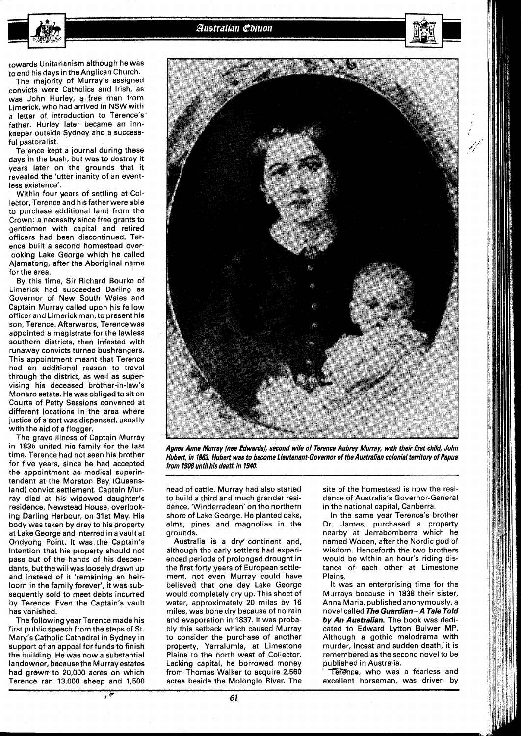**Australian Coition** 



towards Unitarianism although he was to end his days in the Anglican Church.

The majority of Murray's assigned convicts were Catholics and Irish, as was John Hurley, a free man from Limerick, who had arrived in NSW with a letter of introduction to Terence's father. Hurley later became an innkeeper outside Sydney and a successful pastoralist.

Terence kept a journal during these days in the bush, but was to destroy it years later on the grounds that it revealed the 'utter inanity of an eventless existence'.

Within four wars of settling at Collector, Terence and his father were able to purchase additional land from the Crown: a necessity since free grants to gentlemen with capital and retired officers had been discontinued, Terence built a second homestead overlooking Lake George which he called Ajamatong, after the Aboriginal name for the area.

By this time, Sir Richard Bourke of Limerick had succeeded Darling as Governor of New South Wales and Captain Murray called upon his fellow officer and Limerick man, to present his son, Terence. Afterwards, Terence was appointed a magistrate for the lawless southern districts, then infested with runaway convicts turned bushrangers. This appointment meant that Terence had an additional reason to travel through the district, as well as supervising his deceased brother-in-law's Monaro estate. He was obliged to sit on Courts of Petty Sessions convened at different locations in the area where justice of a sort was dispensed, usually with the aid of a flogger.

The grave illness of Captain Murray in 1835 united his family for the last time. Terence had hot seen his brother for five years, since he had accepted the appointment as medical superintendent at the Moreton Bay (Queensland) convict settlement. Captain Murray died at his widowed daughter's residence, Newstead House, overlooking Darling Harbour, on 31st May. His body was taken by dray to his property at Lake George and interred in a vault at Ondyong Point, It was the Captain's intention that his property should not pass out of the hands of his descendants, butthewill wasloosely drawn up and instead of it 'remaining an heirloom in the family forever', it was subsequently sold to meet debts incurred by Terence. Even the Captain's vault has vanished.

The following year Terence made his first public speech from the steps of St. Metry's Catholic Cathedral in Sydney in support of an appeal for funds to finish the building. He was now a substantial landowner, because the Murray estates had grdwrr to **20,000** acres on which Terence ran **13,006** sheep and **1,500** 

پي پ



Agnes Anne Murray (nee Edwards), second wife of Terence Aubrey Murray, with their first child, John **Hubert, in 1863. Hubert was to become Lieutenant-Governor of the Australian colonial territory of Papua from 1908 until his death in 1940.** 

head of cattle. Murray had also started to build a third and much grander residence, 'Winderradeen' on the northern shore of Lake George. He planted oaks, elms, pines and magnolias in the grounds.

Australia is a dry' continent and, although the early settlers had experienced periods of prolonged drought in the first forty years of European settlement, not even Murray could have believed that one day Lake George would completely dry up. This sheet of water, approximately **20** miles by **16**  miles, was bone dry because of no rain and evaporation in 1837. It was probably this setback which caused Murray to consider the purchase of another property, Yarralumla, at Limestone Plains to the north west of Collector. Lacking capital, he borrowed money from Thomas Walker to acquire **2,566**  acres beside the Molonglo River. The site of the homestead is now the residence of Australia's Governor-General in the national capital, Canberra.

In the same year Terence's brother Dr. James, purchased a property nearby at Jerrabomberra which he named Woden, after the Nordic god of wisdom. Henceforth the two brothers would be within an hour's riding distance of each other at Limestone Plains.

It was an enterprising time for the Murrays because in 1838 their sister, Anna Maria, published anonymously, a novel called The Guardian - A Tale Told **by An Australian.** The book was dedicated to Edward Lytton Bulwer MP. Although **a** gothic melodrama with murder, incest and sudden death, it is remembered as the second novel to be published in Australia.

Terence, who was a fearless and excellent horseman, was driven by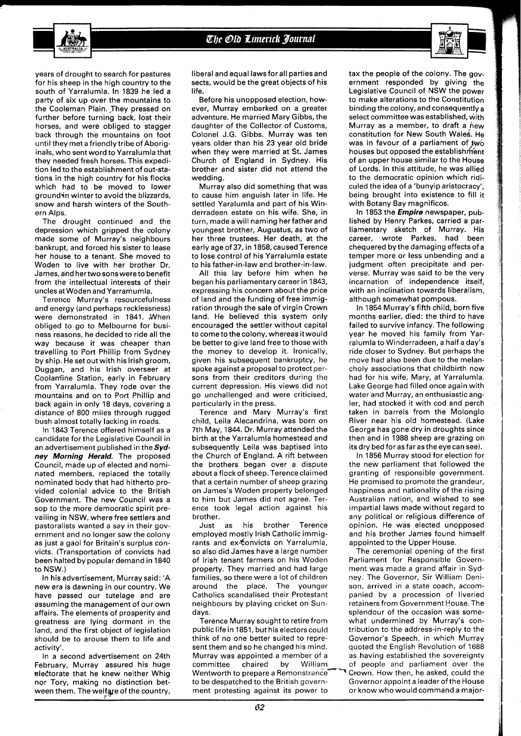

years of drought to search for pastures for his sheep in the high country to the south of Yarralumla. In 1839 he led a party of six up over the mountains to the Cooleman Plain. They pressed on further before turning back, lost their horses, and were obliged to stagger back through the mountains on foot until they met a friendly tribe of Aboriginals, who sent word to Yarralumla that they needed fresh horses. This expedition led to the establishment of out-stations in the high country for his flocks which had to be moved to lower ground in winter to avoid the blizzards, snow and harsh winters of the Southern Alps.

The drought continued and the depression which gripped the colony made some of Murray's neighbours bankrupt, and forced his sister to lease her house to a tenant. She moved to Woden to live with her brother Dr. James, and hertwo sons were to benefit from the intellectual interests of their unclesat Woden and Yarramumla.

Terence Murray's resourcefulness and energy (and perhaps recklessness) were demonstrated in 1841. When obliged to go to Melbourne for business reasons, he decided to ride all the way because it was cheaper than travelling to Port Phillip from Sydney by ship. He set out with his lrish groom, Duggan, and his lrish overseer at Coolamine Station, early in February from Yarralumla. They rode over the mountains and on to Port Phillip and back again in only 18 days, covering a distance of 800 miles through rugged bush almost totally lacking in roads.

In 1843 Terence offered himself as a candidate for the Legislative Council in an advertisement published in the  $Syd$ ney Morning Herald. The proposed Council, made up of elected and nominated members, replaced the totally nominated body that had hitherto provided colonial advice to the British Government. The new Council was a sop to the more democratic spirit prevailing in NSW, where free settlers and pastoralists wanted a say in their government and no longer saw the colony as just a gaol for Britain's surplus convicts. (Transportation of convicts had been halted by popular demand in 1840 to NSW.)

In his advertisement, Murray said: 'A new era is dawning in our country. We have passed our tutelage and are assuming the management of our own affairs. The elements of prosperity and greatness are lying dormant in the land, and the first object of legislation should be to arouse them to life and activity'.

In a second advertisement on 24th February, Murray assured his huge electorate that he knew neither Whig nor Tory, making no distinction between them. The welfare of the country,

liberal and equal laws for all parties and sects, would be the great objects of his life.

Before his unopposed election, however, Murray embarked on a greater adventure. He married Mary Gibbs, the daughter of the Collector of Customs, Colonel J.G. Gibbs. Murray was ten years older than his 23 year old bride when they were married at St. James Church of England in Sydney. His brother and sister did not attend the wedding.

Murray also did something that was to cause him anguish later in life. He settled Yaralumla and part of his Winderradeen estate on his wife. She, in turn, made a will naming her father and youngest brother, Augustus, as two of her three trustees. Her death, at the early age of 37, in 1858, caused Terence to lose control of his Yarralumla estate to his father-in-law and brother-in-law.

All this lay before him when he began his parliamentary career in 1843, expressing his concern about the price of land and the funding of free immigration through the sale of virgin Crown land. He believed this system only encouraged the settler without capital to come to the colony, whereas it would be better to give land free to those with the money to develop it. Ironically, given his subsequent bankruptcy, he spoke against a proposal to protect persons from their creditors during the current depression. His views did not go unchallenged and were criticised, particularly in the press.

Terence and Mary Murray's first child, Leila Alecandrina, was born on 7th May, 1844. Dr. Murray attended the birth at the Yarralumla homestead and subsequently Leila was baptised into the Church of England. A rift between the brothers began over a dispute about a flock of sheep. Terence claimed that a certain number of sheep grazing on James's Woden property belonged to him but James did not agree. Terence took legal action against his brother.

Just as his brother Terence employed mostly lrish Catholic immigrants and ex-5onvicts on Yarralumla, so also did James have a large number of lrish tenant farmers on his Woden property. They married and had large families, so there were a lot of children around the place. The younger Catholics scandalised their Protestant neighbours by playing cricket on Sundays.

Terence Murray sought to retire from public life in 1851, but his electors could think of no one better suited to represent them and so he changed his mind. Murray was appointed a member of a committee chaired by William Wentworth to prepare a Remonstrance Crown. How then, he asked, could the to be despatched to the British govern- Governor appoint a leader of the House ment protesting against its power to or know who would command a major-

tax the people of the colony. The government responded by giving the Legislative Council of NSW the power to make alterations to the Constitution binding the colony, and consequently a select committee was established, with Murray as a member, to draft a new constitution for New South Wales. He was in favour of a parliament of two houses but opposed the establishment of an upper house similar to the House of Lords. In this attitude, he was allied to the democratic opinion which ridiculed the idea of a 'bunyip aristocracy', being brought into existence to fill it with Botany Bay magnificos.

In 1853 the *Empire* newspaper, published by Henry Parkes, carried a parliamentary sketch of Murray. His career, wrote Parkes, had been chequered by the damaging effects of a temper more or less unbending and a judgment often precipitate and perverse. Murray was said to be the very incarnation of independence itself, with an inclination towards liberalism, although somewhat pompous.

In 1854 Murray's fifth child, born five months earlier, died: the third to have failed to survive infancy. The following year he moved his family from Yarralumla to Winderradeen, a half a day's ride closer to Sydney. But perhaps the move had also been due to the melancholy associations that childbirth now had for his wife, Mary, at Yarralumla. Lake George had filled once again with water and Murray, an enthusiastic angler, had stocked it with cod and perch taken in barrels from the Molonglo River near his old homestead. (Lake George has gone dry in droughts since then and in l988 sheep are grazing on its dry bed for as far as the eye can see).

In 1856 Murray stood for election for the new parliament that followed the granting of responsible government. He promised to promote the grandeur, happiness and nationality of the rising Australian nation, and wished to see impartial laws made without regard to any political or religious difference of opinion. He was elected unopposed and his brother James found himself appointed to the Upper House.

The ceremonial opening of the first Parliament for Responsible Government was made a grand affair in Sydney. The Governor, Sir William Denison, arrived in a state coach, accompanied by a procession of liveried retainers from Government House. The splendour of the occasion was somewhat undermined by Murray's contribution to the address-in-reply to the Governor's Speech, in which Murray quoted the English Revolution of 1688 as having established the sovereignty of people and parliament over the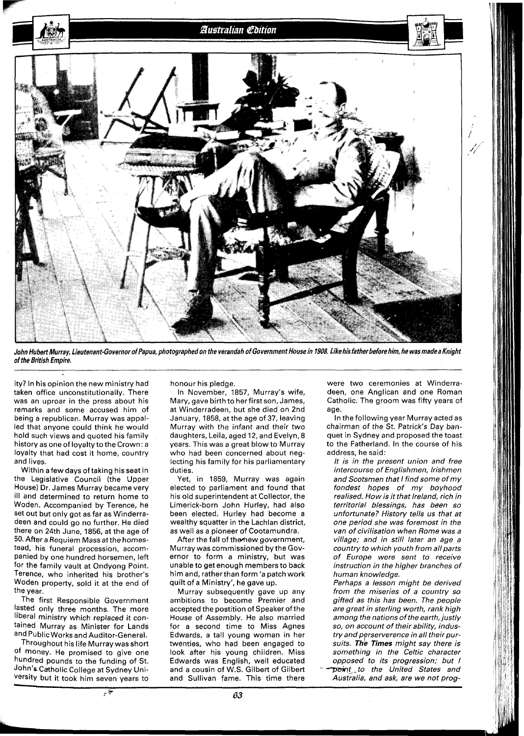

John Hubert Murray, Lieutenant-Governor of Papua, photographed on the verandah of Government House in 1908. Like his father before him, he was made a Knight of the British Empire.

ity? In his opinion the new ministry had taken office unconstitutionally. There was an uproar in the press about his remarks and some accused him of being a republican. Murray was appalled that anyone could think he would hold such views and quoted his family history as one of loyalty to the Crown: a loyalty that had cost it home, country and lives.

Within a few days of taking his seat in the Legislative Council (the Upper House) Dr. James Murray became very ill and determined to return home to Woden. Accompanied by Terence, he set out but only got as far as Winderradeen and could go no further. He died there on 24th June, 1856, at the age of 50. After a Requiem Mass at the homestead, his funeral procession, accompanied by one hundred horsemen, left for the family vault at Ondyong Point. Terence, who inherited his brother's Woden property, sold it at the end of the year.

The first Responsible Government lasted only three months. The more liberal ministry which replaced it contained Murray as Minister for Lands and Public Works and Auditor-General.

Throughout his life Murray was short Of money. He promised to give one hundred pounds to the funding of St. John's Catholic College at Sydney University but it took him seven years to

ىتىر

honour his pledge.

In November, 1857, Murray's wife, Mary, gave birth to her first son, James, at Winderradeen, but she died on 2nd January, 1858, at the age of 37, leaving Murray with the infant and their two daughters, Leila, aged 12, and Evelyn,8 years. This was a great blow to Murray who had been concerned about neglecting his family for his parliamentary duties.

Yet, in 1859, Murray was again elected to parliament and found that his old superintendent at Collector, the Limerick-born John Hurley, had also been elected. Hurley had become a wealthy squatter in the Lachlan district, as well as a pioneer of Cootamundra.

After the fall of the new government, Murray was commissioned by the Governor to form a ministry, but was unable to get enough members to back him and, ratherthan form 'a patch work quilt of a Ministry', he gave up.

Murray subsequently gave up any ambitions to become Premier and accepted the postition of Speaker of the House of Assembly. He also married for a second time to Miss Agnes Edwards, a tall young woman in her twenties, who had been engaged to look after his young children. Miss Edwards was English, well educated and a cousin of W.S. Gilbert of Gilbert and Sullivan fame. This time there

were two ceremonies at Winderradeen, one Anglican and one Roman Catholic. The groom was fifty years of age.

In the following year Murray acted as chairman of the St. Patrick's Day banquet in Sydney and proposed the toast to the Fatherland. In the course of his address, he said:

It is in the present union and free intercourse of Englishmen, Irishmen and Scotsmen that I find some of my fondest hopes of my boyhood realised. How is it that Ireland, rich in territorial blessings, has been so unfortunate? History tells us that at one period she was foremost in the van of civilisation when Rome was a village; and in still later an age a country to which youth from all parts of Europe were sent to receive instruction in the higher branches of human knowledge.

Perhaps a lesson might be derived from the miseries of a country so gifted as this has been. The people are great in sterling worth, rank high among the nations of the earth, justly so, on account of their ability, industry and perserverence in all their pursuits. The Times might say there is something in the Celtic character opposed to its progression; but I point to the United States and Australia, and ask, are we not prog-